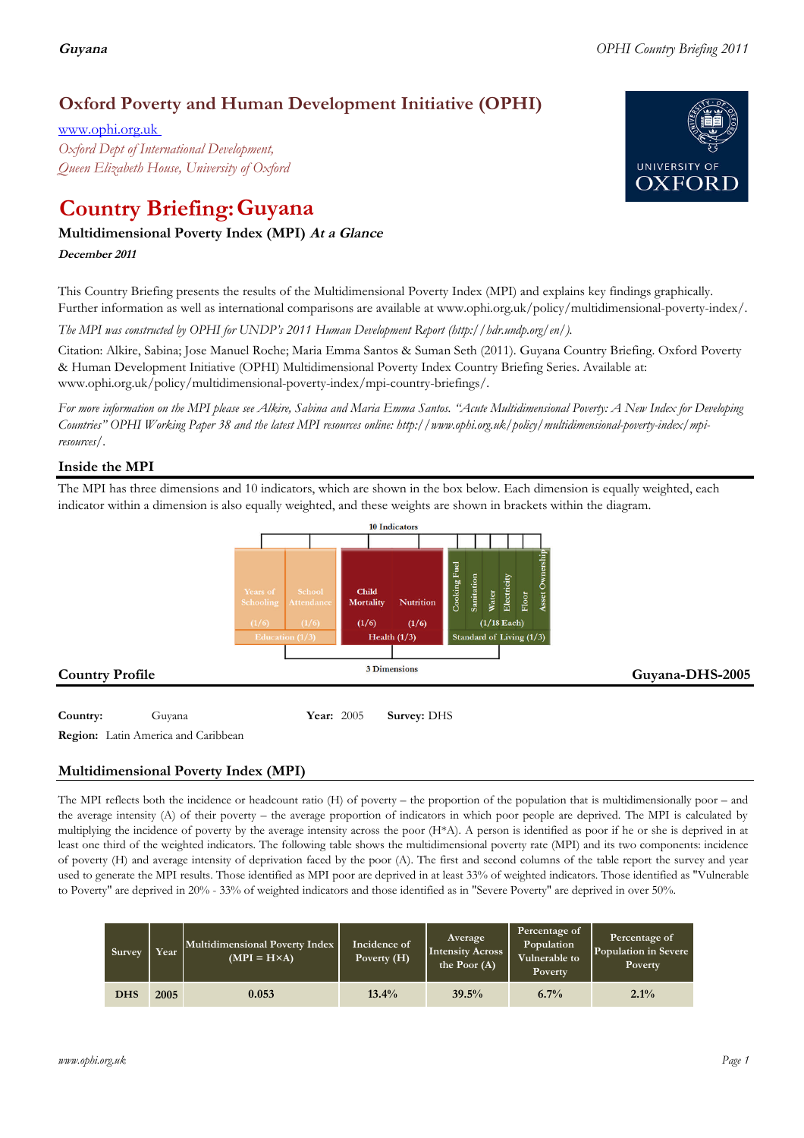## **Oxford Poverty and Human Development Initiative (OPHI)**

www.ophi.org.uk *Oxford Dept of International Development, Queen Elizabeth House, University of Oxford*

# **Country Briefing: Guyana**

## **Multidimensional Poverty Index (MPI) At <sup>a</sup> Glance**

**December <sup>2011</sup>**

This Country Briefing presents the results of the Multidimensional Poverty Index (MPI) and explains key findings graphically. Further information as well as international comparisons are available at www.ophi.org.uk/policy/multidimensional-poverty-index/.

*The MPI was constructed by OPHI for UNDP's 2011 Human Development Report (http://hdr.undp.org/en/).*

Citation: Alkire, Sabina; Jose Manuel Roche; Maria Emma Santos & Suman Seth (2011). Guyana Country Briefing. Oxford Poverty & Human Development Initiative (OPHI) Multidimensional Poverty Index Country Briefing Series. Available at: www.ophi.org.uk/policy/multidimensional-poverty-index/mpi-country-briefings/.

*For more information on the MPI please see Alkire, Sabina and Maria Emma Santos. "Acute Multidimensional Poverty: A New Index for Developing Countries" OPHI Working Paper 38 and the latest MPI resources online: http://www.ophi.org.uk/policy/multidimensional-poverty-index/mpiresources/.*

## **Inside the MPI**

The MPI has three dimensions and 10 indicators, which are shown in the box below. Each dimension is equally weighted, each indicator within a dimension is also equally weighted, and these weights are shown in brackets within the diagram.



**Region:** Latin America and Caribbean

### **Multidimensional Poverty Index (MPI)**

The MPI reflects both the incidence or headcount ratio (H) of poverty – the proportion of the population that is multidimensionally poor – and the average intensity (A) of their poverty – the average proportion of indicators in which poor people are deprived. The MPI is calculated by multiplying the incidence of poverty by the average intensity across the poor (H\*A). A person is identified as poor if he or she is deprived in at least one third of the weighted indicators. The following table shows the multidimensional poverty rate (MPI) and its two components: incidence of poverty (H) and average intensity of deprivation faced by the poor (A). The first and second columns of the table report the survey and year used to generate the MPI results. Those identified as MPI poor are deprived in at least 33% of weighted indicators. Those identified as "Vulnerable to Poverty" are deprived in 20% - 33% of weighted indicators and those identified as in "Severe Poverty" are deprived in over 50%.

| Survey     | Year | Multidimensional Poverty Index<br>$(MPI = H \times A)$ | Incidence of<br>Poverty (H) | <b>Average</b><br><b>Intensity Across</b><br>the Poor $(A)$ | Percentage of<br>Population<br>Vulnerable to<br>Poverty | Percentage of<br>Population in Severe<br>Poverty |
|------------|------|--------------------------------------------------------|-----------------------------|-------------------------------------------------------------|---------------------------------------------------------|--------------------------------------------------|
| <b>DHS</b> | 2005 | 0.053                                                  | $13.4\%$                    | 39.5%                                                       | $6.7\%$                                                 | 2.1%                                             |

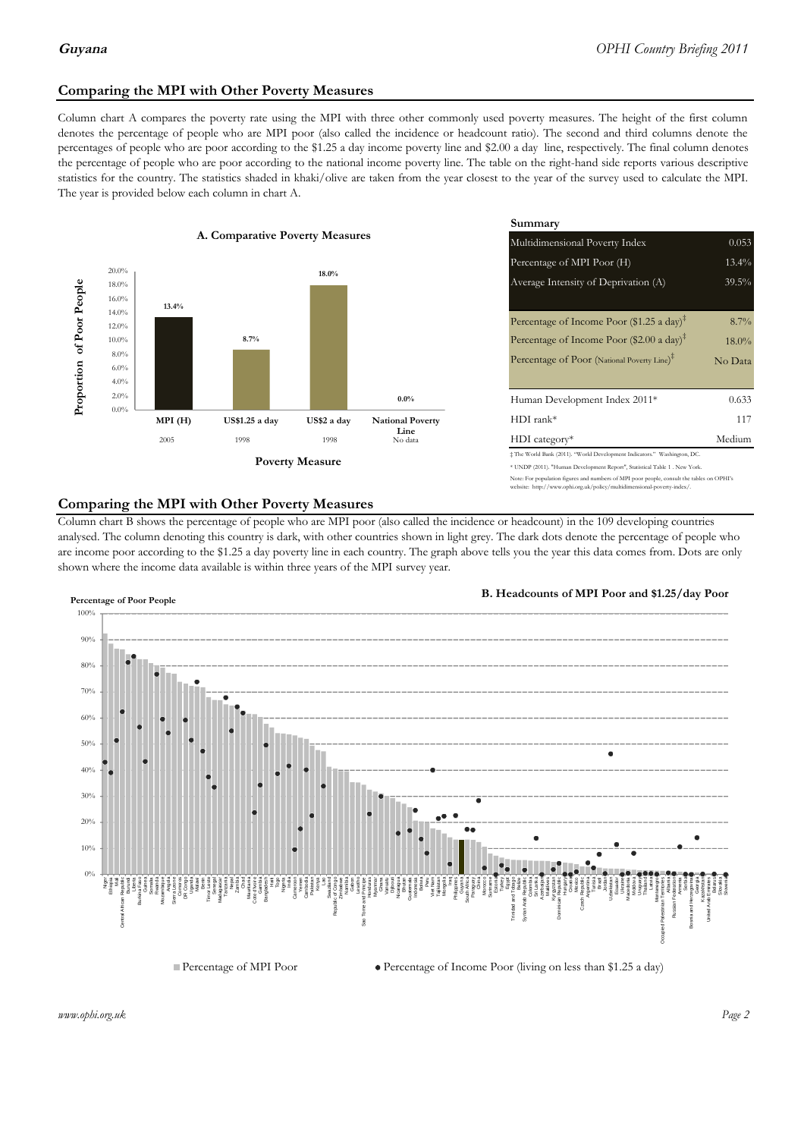### **Comparing the MPI with Other Poverty Measures**

Column chart A compares the poverty rate using the MPI with three other commonly used poverty measures. The height of the first column denotes the percentage of people who are MPI poor (also called the incidence or headcount ratio). The second and third columns denote the percentages of people who are poor according to the \$1.25 a day income poverty line and \$2.00 a day line, respectively. The final column denotes the percentage of people who are poor according to the national income poverty line. The table on the right-hand side reports various descriptive statistics for the country. The statistics shaded in khaki/olive are taken from the year closest to the year of the survey used to calculate the MPI. The year is provided below each column in chart A.



|                |                                 | Summary                                                                    |          |  |  |  |
|----------------|---------------------------------|----------------------------------------------------------------------------|----------|--|--|--|
| erty Measures  |                                 | Multidimensional Poverty Index                                             | 0.053    |  |  |  |
|                |                                 | Percentage of MPI Poor (H)                                                 | $13.4\%$ |  |  |  |
| 18.0%          |                                 | Average Intensity of Deprivation (A)                                       | $39.5\%$ |  |  |  |
|                |                                 |                                                                            |          |  |  |  |
|                |                                 | Percentage of Income Poor (\$1.25 a day) <sup><math>\ddagger</math></sup>  | 8.7%     |  |  |  |
|                |                                 | Percentage of Income Poor (\$2.00 a day) <sup>‡</sup>                      | $18.0\%$ |  |  |  |
|                |                                 | Percentage of Poor (National Poverty Line) <sup>#</sup>                    | No Data  |  |  |  |
|                |                                 |                                                                            |          |  |  |  |
|                | $0.0\%$                         | Human Development Index 2011*                                              | 0.633    |  |  |  |
| US\$2 a day    | <b>National Poverty</b><br>Line | $HDI$ rank*                                                                | 117      |  |  |  |
| 1998           | No data                         | $HDI category*$                                                            | Medium   |  |  |  |
| <b>Aeasure</b> |                                 | # The World Bank (2011). "World Development Indicators." Washington, DC.   |          |  |  |  |
|                |                                 | * UNDP (2011). "Human Development Report", Statistical Table 1 . New York. |          |  |  |  |

### te: For population figures and numbers of MPI poor people, consult the tables on OPHI's te: http://www.ophi.org.uk/policy/multidimensional-poverty-index/

### **Comparing the MPI with Other Poverty Measures**

Column chart B shows the percentage of people who are MPI poor (also called the incidence or headcount) in the 109 developing countries analysed. The column denoting this country is dark, with other countries shown in light grey. The dark dots denote the percentage of people who are income poor according to the \$1.25 a day poverty line in each country. The graph above tells you the year this data comes from. Dots are only shown where the income data available is within three years of the MPI survey year.



**B. Headcounts of MPI Poor and \$1.25/day Poor**



 $\bullet$  Percentage of Income Poor (living on less than \$1.25 a day)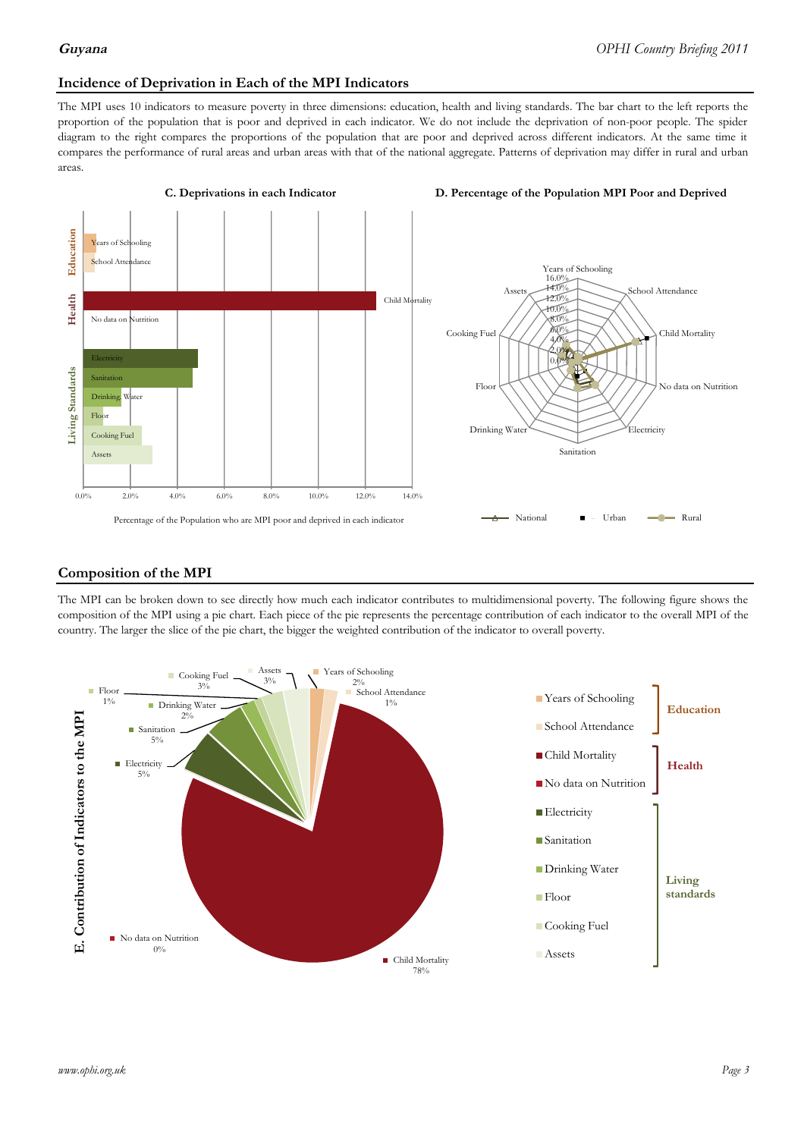### **Incidence of Deprivation in Each of the MPI Indicators**

The MPI uses 10 indicators to measure poverty in three dimensions: education, health and living standards. The bar chart to the left reports the proportion of the population that is poor and deprived in each indicator. We do not include the deprivation of non-poor people. The spider diagram to the right compares the proportions of the population that are poor and deprived across different indicators. At the same time it compares the performance of rural areas and urban areas with that of the national aggregate. Patterns of deprivation may differ in rural and urban areas.



### **Composition of the MPI**

The MPI can be broken down to see directly how much each indicator contributes to multidimensional poverty. The following figure shows the composition of the MPI using a pie chart. Each piece of the pie represents the percentage contribution of each indicator to the overall MPI of the country. The larger the slice of the pie chart, the bigger the weighted contribution of the indicator to overall poverty.